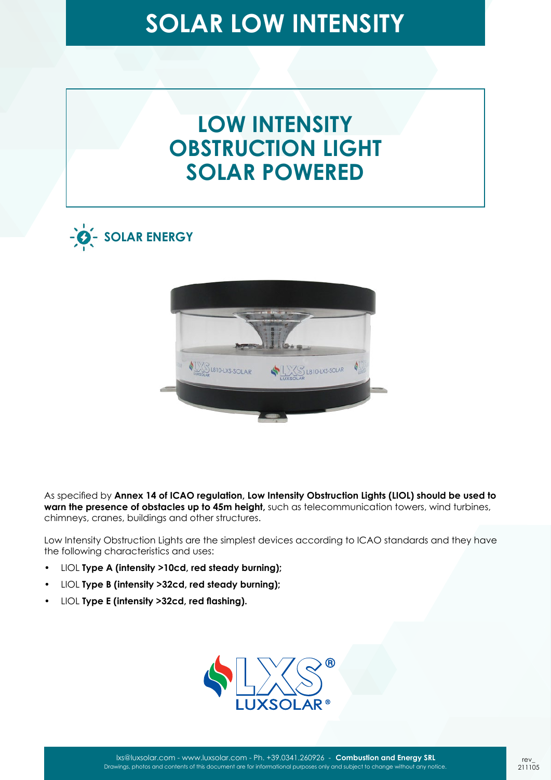### **LOW INTENSITY OBSTRUCTION LIGHT SOLAR POWERED**





As specified by **Annex 14 of ICAO regulation, Low Intensity Obstruction Lights (LIOL) should be used to warn the presence of obstacles up to 45m height,** such as telecommunication towers, wind turbines, chimneys, cranes, buildings and other structures.

Low Intensity Obstruction Lights are the simplest devices according to ICAO standards and they have the following characteristics and uses:

- LIOL **Type A (intensity >10cd, red steady burning);**
- LIOL **Type B (intensity >32cd, red steady burning);**
- LIOL **Type E (intensity >32cd, red flashing).**

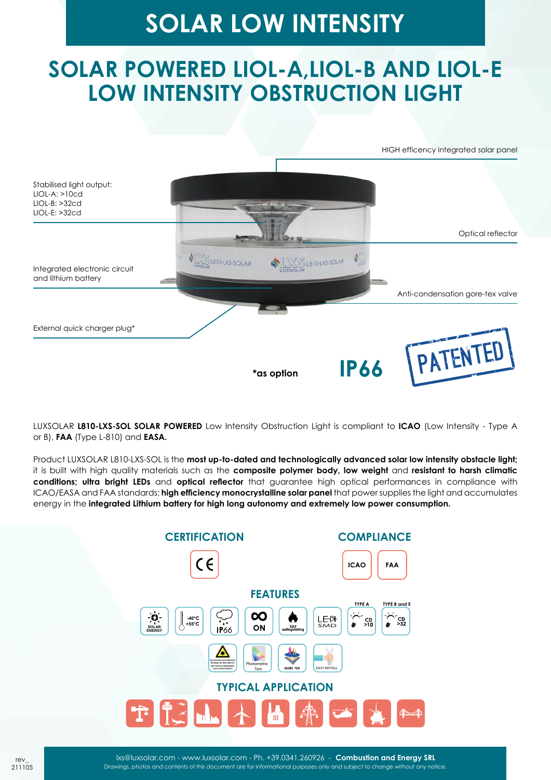## **SOLAR POWERED LIOL-A,LIOL-B AND LIOL-E LOW INTENSITY OBSTRUCTION LIGHT**

HIGH efficency integrated solar panel



LUXSOLAR **L810-LXS-SOL SOLAR POWERED** Low Intensity Obstruction Light is compliant to **ICAO** (Low Intensity - Type A or B), **FAA** (Type L-810) and **EASA.**

Product LUXSOLAR L810-LXS-SOL is the **most up-to-dated and technologically advanced solar low intensity obstacle light;** it is built with high quality materials such as the **composite polymer body, low weight** and **resistant to harsh climatic conditions; ultra bright LEDs** and **optical reflector** that guarantee high optical performances in compliance with ICAO/EASA and FAA standards; **high efficiency monocrystalline solar panel** that power supplies the light and accumulates energy in the **integrated Lithium battery for high long autonomy and extremely low power consumption.**

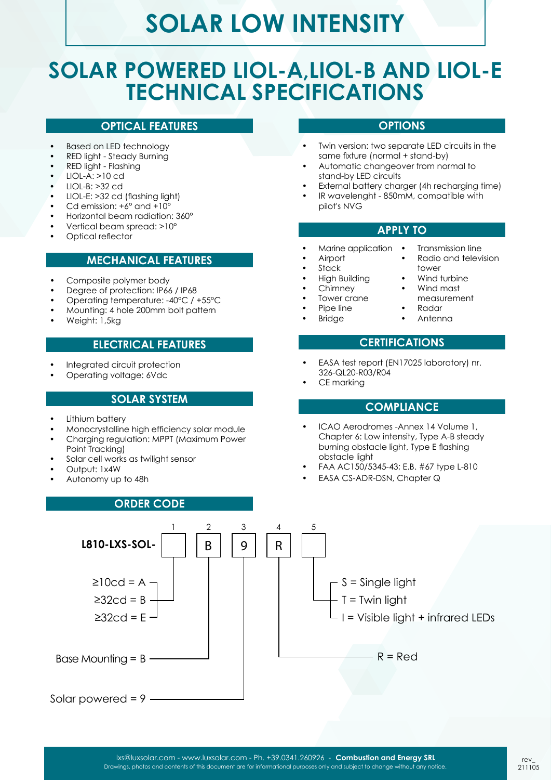### **SOLAR POWERED LIOL-A,LIOL-B AND LIOL-E TECHNICAL SPECIFICATIONS**

#### **OPTICAL FEATURES**

- Based on LED technology
- RED light Steady Burning
- RED light Flashing
- $LIOL-A: >10$  cd
- LIOL-B: >32 cd
- LIOL-E: >32 cd (flashing light)
- Cd emission: +6° and +10°
- Horizontal beam radiation: 360°
- Vertical beam spread: >10°
- Optical reflector

#### **MECHANICAL FEATURES**

- Composite polymer body
- Degree of protection: IP66 / IP68
- Operating temperature: -40°C / +55°C
- Mounting: 4 hole 200mm bolt pattern
- Weight: 1,5kg

#### **ELECTRICAL FEATURES**

- Integrated circuit protection
- Operating voltage: 6Vdc

#### **SOLAR SYSTEM**

- Lithium battery
- Monocrystalline high efficiency solar module
- Charging regulation: MPPT (Maximum Power Point Tracking)
- Solar cell works as twilight sensor
- Output: 1x4W
- Autonomy up to 48h

#### **ORDER CODE**

- **OPTIONS**
- Twin version: two separate LED circuits in the same fixture (normal + stand-by)
- Automatic changeover from normal to stand-by LED circuits
- External battery charger (4h recharging time)
- IR wavelenght 850mM, compatible with pilot's NVG

#### **APPLY TO**

• Transmission line • Radio and television

tower Wind turbine • Wind mast measurement • Radar • Antenna

- Marine application •
- Airport
- **Stack**
- High Building
- Chimney
- Tower crane
- Pipe line
- **Bridge**

### **CERTIFICATIONS**

- EASA test report (EN17025 laboratory) nr. 326-QL20-R03/R04
- CE markina

#### **COMPLIANCE**

- ICAO Aerodromes -Annex 14 Volume 1, Chapter 6: Low intensity, Type A-B steady burning obstacle light, Type E flashing obstacle light
- FAA AC150/5345-43; E.B. #67 type L-810
- EASA CS-ADR-DSN, Chapter Q